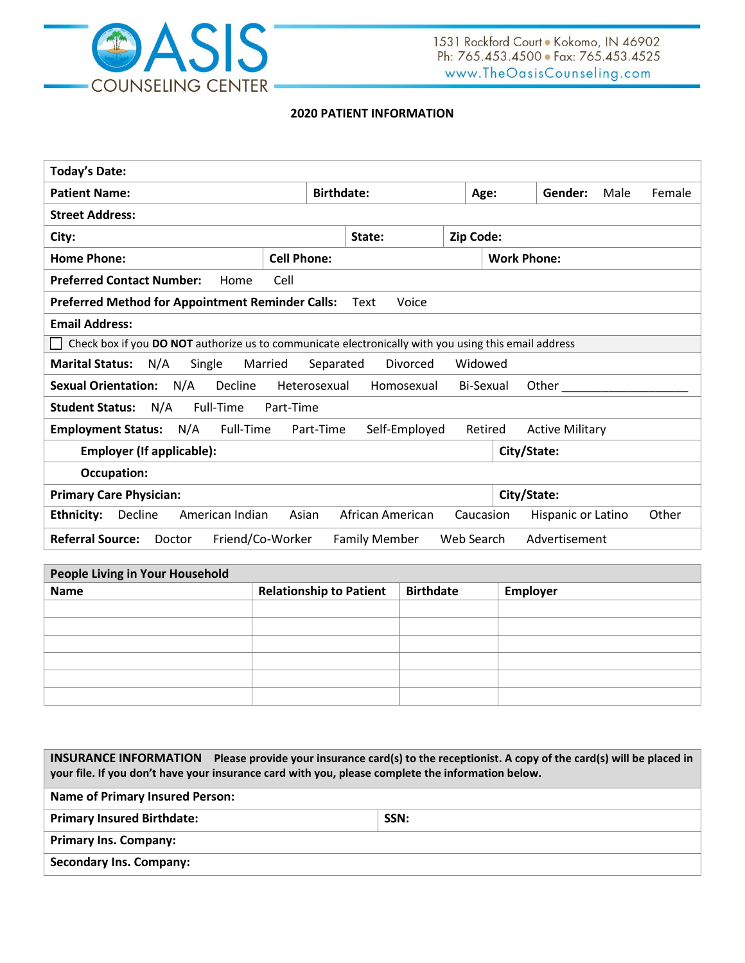

## **2020 PATIENT INFORMATION**

| <b>Today's Date:</b>                                                                                             |        |                  |           |  |                    |  |       |
|------------------------------------------------------------------------------------------------------------------|--------|------------------|-----------|--|--------------------|--|-------|
| <b>Patient Name:</b><br><b>Birthdate:</b><br>Gender:<br>Male<br>Female<br>Age:                                   |        |                  |           |  |                    |  |       |
| <b>Street Address:</b>                                                                                           |        |                  |           |  |                    |  |       |
| City:                                                                                                            | State: |                  | Zip Code: |  |                    |  |       |
| <b>Home Phone:</b><br><b>Cell Phone:</b><br><b>Work Phone:</b>                                                   |        |                  |           |  |                    |  |       |
| <b>Preferred Contact Number:</b><br>Cell<br>Home                                                                 |        |                  |           |  |                    |  |       |
| <b>Preferred Method for Appointment Reminder Calls:</b>                                                          | Text   | Voice            |           |  |                    |  |       |
| <b>Email Address:</b>                                                                                            |        |                  |           |  |                    |  |       |
| Check box if you DO NOT authorize us to communicate electronically with you using this email address             |        |                  |           |  |                    |  |       |
| <b>Marital Status:</b><br>N/A<br>Widowed<br>Single<br>Married<br>Separated<br>Divorced                           |        |                  |           |  |                    |  |       |
| N/A<br>Decline<br><b>Sexual Orientation:</b><br>Bi-Sexual<br>Other<br>Heterosexual<br>Homosexual                 |        |                  |           |  |                    |  |       |
| N/A<br>Full-Time<br><b>Student Status:</b><br>Part-Time                                                          |        |                  |           |  |                    |  |       |
| N/A<br>Full-Time<br>Part-Time<br><b>Employment Status:</b><br>Self-Employed<br>Retired<br><b>Active Military</b> |        |                  |           |  |                    |  |       |
| <b>Employer (If applicable):</b><br>City/State:                                                                  |        |                  |           |  |                    |  |       |
| <b>Occupation:</b>                                                                                               |        |                  |           |  |                    |  |       |
| <b>Primary Care Physician:</b><br>City/State:                                                                    |        |                  |           |  |                    |  |       |
| Decline<br>American Indian<br><b>Ethnicity:</b><br>Asian                                                         |        | African American | Caucasion |  | Hispanic or Latino |  | Other |
| <b>Referral Source:</b><br>Advertisement<br>Friend/Co-Worker<br>Web Search<br>Doctor<br><b>Family Member</b>     |        |                  |           |  |                    |  |       |

| People Living in Your Household |                                |                  |          |  |  |
|---------------------------------|--------------------------------|------------------|----------|--|--|
| <b>Name</b>                     | <b>Relationship to Patient</b> | <b>Birthdate</b> | Employer |  |  |
|                                 |                                |                  |          |  |  |
|                                 |                                |                  |          |  |  |
|                                 |                                |                  |          |  |  |
|                                 |                                |                  |          |  |  |
|                                 |                                |                  |          |  |  |
|                                 |                                |                  |          |  |  |

| INSURANCE INFORMATION Please provide your insurance card(s) to the receptionist. A copy of the card(s) will be placed in<br>your file. If you don't have your insurance card with you, please complete the information below. |      |  |  |  |
|-------------------------------------------------------------------------------------------------------------------------------------------------------------------------------------------------------------------------------|------|--|--|--|
| <b>Name of Primary Insured Person:</b>                                                                                                                                                                                        |      |  |  |  |
| <b>Primary Insured Birthdate:</b>                                                                                                                                                                                             | SSN: |  |  |  |
| <b>Primary Ins. Company:</b>                                                                                                                                                                                                  |      |  |  |  |
| <b>Secondary Ins. Company:</b>                                                                                                                                                                                                |      |  |  |  |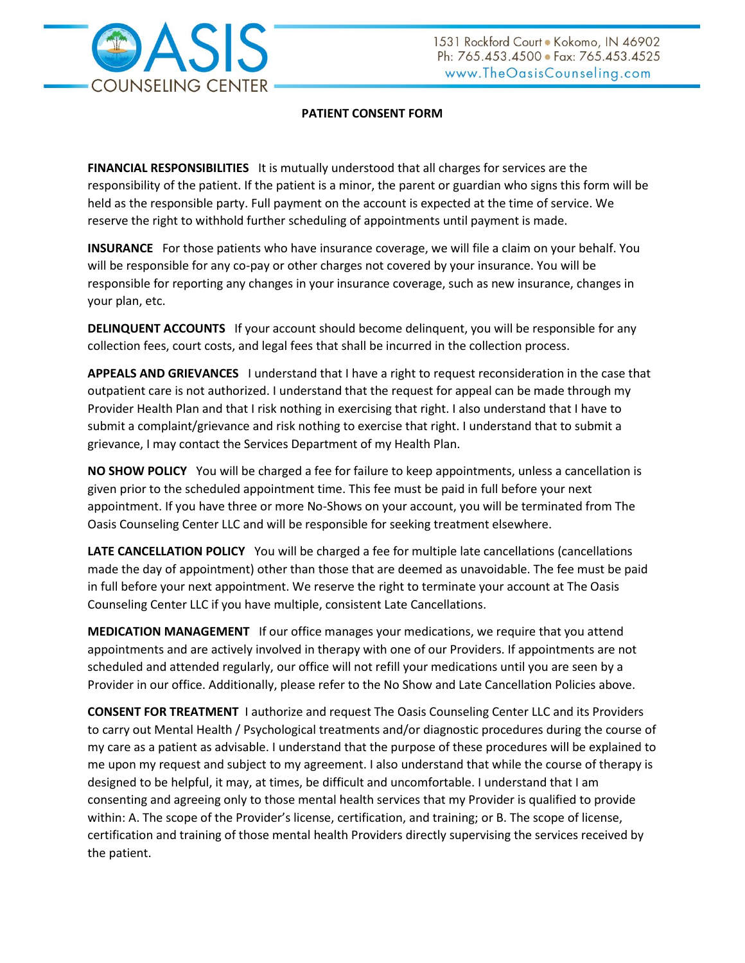

# **PATIENT CONSENT FORM**

**FINANCIAL RESPONSIBILITIES** It is mutually understood that all charges for services are the responsibility of the patient. If the patient is a minor, the parent or guardian who signs this form will be held as the responsible party. Full payment on the account is expected at the time of service. We reserve the right to withhold further scheduling of appointments until payment is made.

**INSURANCE** For those patients who have insurance coverage, we will file a claim on your behalf. You will be responsible for any co-pay or other charges not covered by your insurance. You will be responsible for reporting any changes in your insurance coverage, such as new insurance, changes in your plan, etc.

**DELINQUENT ACCOUNTS** If your account should become delinquent, you will be responsible for any collection fees, court costs, and legal fees that shall be incurred in the collection process.

**APPEALS AND GRIEVANCES** I understand that I have a right to request reconsideration in the case that outpatient care is not authorized. I understand that the request for appeal can be made through my Provider Health Plan and that I risk nothing in exercising that right. I also understand that I have to submit a complaint/grievance and risk nothing to exercise that right. I understand that to submit a grievance, I may contact the Services Department of my Health Plan.

**NO SHOW POLICY** You will be charged a fee for failure to keep appointments, unless a cancellation is given prior to the scheduled appointment time. This fee must be paid in full before your next appointment. If you have three or more No-Shows on your account, you will be terminated from The Oasis Counseling Center LLC and will be responsible for seeking treatment elsewhere.

**LATE CANCELLATION POLICY** You will be charged a fee for multiple late cancellations (cancellations made the day of appointment) other than those that are deemed as unavoidable. The fee must be paid in full before your next appointment. We reserve the right to terminate your account at The Oasis Counseling Center LLC if you have multiple, consistent Late Cancellations.

**MEDICATION MANAGEMENT** If our office manages your medications, we require that you attend appointments and are actively involved in therapy with one of our Providers. If appointments are not scheduled and attended regularly, our office will not refill your medications until you are seen by a Provider in our office. Additionally, please refer to the No Show and Late Cancellation Policies above.

**CONSENT FOR TREATMENT** I authorize and request The Oasis Counseling Center LLC and its Providers to carry out Mental Health / Psychological treatments and/or diagnostic procedures during the course of my care as a patient as advisable. I understand that the purpose of these procedures will be explained to me upon my request and subject to my agreement. I also understand that while the course of therapy is designed to be helpful, it may, at times, be difficult and uncomfortable. I understand that I am consenting and agreeing only to those mental health services that my Provider is qualified to provide within: A. The scope of the Provider's license, certification, and training; or B. The scope of license, certification and training of those mental health Providers directly supervising the services received by the patient.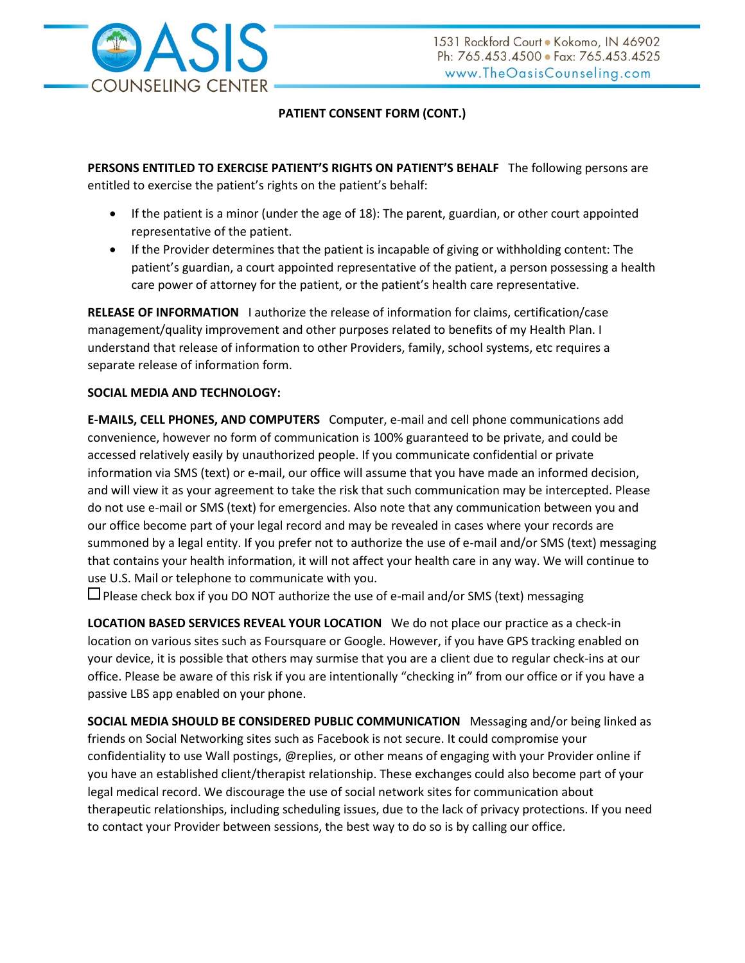

# **PATIENT CONSENT FORM (CONT.)**

**PERSONS ENTITLED TO EXERCISE PATIENT'S RIGHTS ON PATIENT'S BEHALF** The following persons are entitled to exercise the patient's rights on the patient's behalf:

- If the patient is a minor (under the age of 18): The parent, guardian, or other court appointed representative of the patient.
- If the Provider determines that the patient is incapable of giving or withholding content: The patient's guardian, a court appointed representative of the patient, a person possessing a health care power of attorney for the patient, or the patient's health care representative.

**RELEASE OF INFORMATION** I authorize the release of information for claims, certification/case management/quality improvement and other purposes related to benefits of my Health Plan. I understand that release of information to other Providers, family, school systems, etc requires a separate release of information form.

## **SOCIAL MEDIA AND TECHNOLOGY:**

**E-MAILS, CELL PHONES, AND COMPUTERS** Computer, e-mail and cell phone communications add convenience, however no form of communication is 100% guaranteed to be private, and could be accessed relatively easily by unauthorized people. If you communicate confidential or private information via SMS (text) or e-mail, our office will assume that you have made an informed decision, and will view it as your agreement to take the risk that such communication may be intercepted. Please do not use e-mail or SMS (text) for emergencies. Also note that any communication between you and our office become part of your legal record and may be revealed in cases where your records are summoned by a legal entity. If you prefer not to authorize the use of e-mail and/or SMS (text) messaging that contains your health information, it will not affect your health care in any way. We will continue to use U.S. Mail or telephone to communicate with you.

 $\square$  Please check box if you DO NOT authorize the use of e-mail and/or SMS (text) messaging

**LOCATION BASED SERVICES REVEAL YOUR LOCATION** We do not place our practice as a check-in location on various sites such as Foursquare or Google. However, if you have GPS tracking enabled on your device, it is possible that others may surmise that you are a client due to regular check-ins at our office. Please be aware of this risk if you are intentionally "checking in" from our office or if you have a passive LBS app enabled on your phone.

**SOCIAL MEDIA SHOULD BE CONSIDERED PUBLIC COMMUNICATION** Messaging and/or being linked as friends on Social Networking sites such as Facebook is not secure. It could compromise your confidentiality to use Wall postings, @replies, or other means of engaging with your Provider online if you have an established client/therapist relationship. These exchanges could also become part of your legal medical record. We discourage the use of social network sites for communication about therapeutic relationships, including scheduling issues, due to the lack of privacy protections. If you need to contact your Provider between sessions, the best way to do so is by calling our office.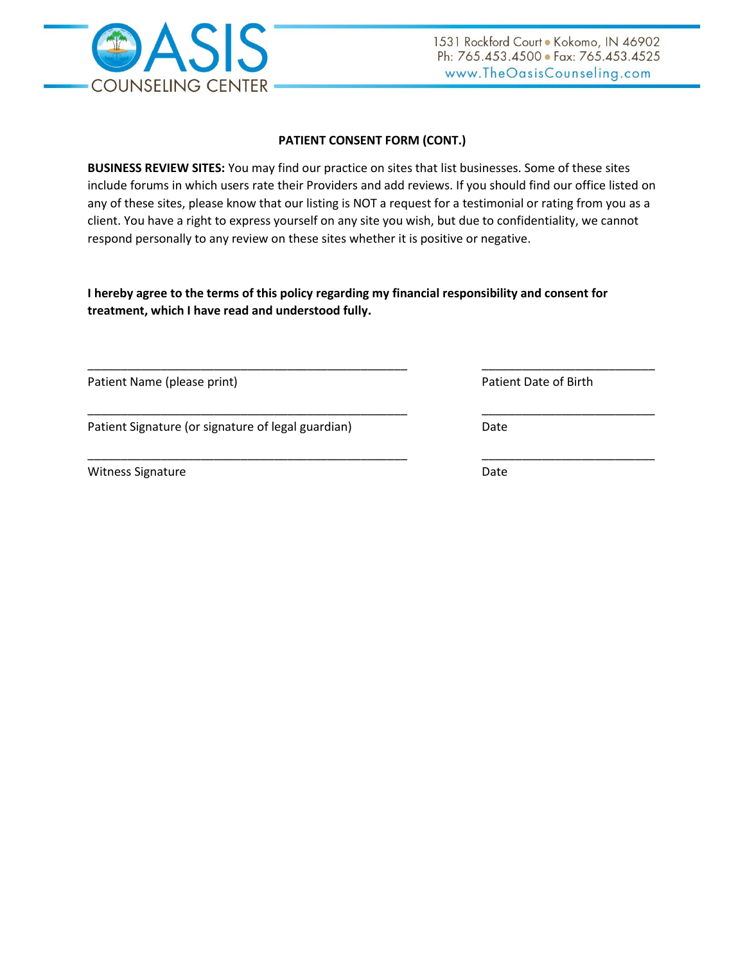

# **PATIENT CONSENT FORM (CONT.)**

**BUSINESS REVIEW SITES:** You may find our practice on sites that list businesses. Some of these sites include forums in which users rate their Providers and add reviews. If you should find our office listed on any of these sites, please know that our listing is NOT a request for a testimonial or rating from you as a client. You have a right to express yourself on any site you wish, but due to confidentiality, we cannot respond personally to any review on these sites whether it is positive or negative.

**I hereby agree to the terms of this policy regarding my financial responsibility and consent for treatment, which I have read and understood fully.**

| Patient Name (please print)                        | Patient Date of Birth |
|----------------------------------------------------|-----------------------|
| Patient Signature (or signature of legal guardian) | Date                  |
| <b>Witness Signature</b>                           | Date                  |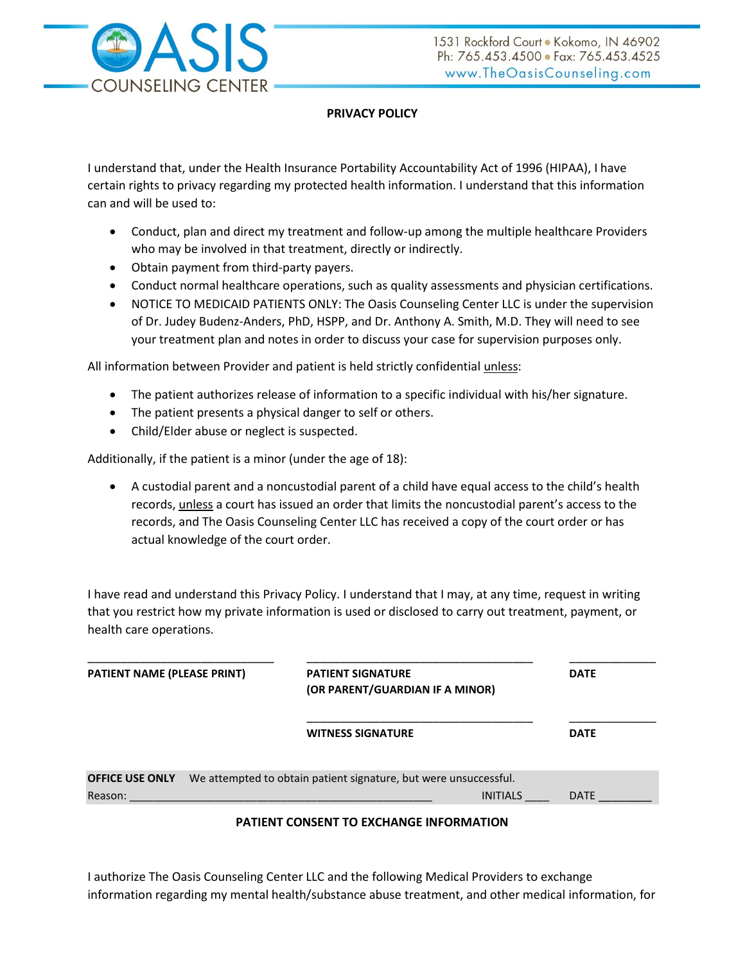

# **PRIVACY POLICY**

I understand that, under the Health Insurance Portability Accountability Act of 1996 (HIPAA), I have certain rights to privacy regarding my protected health information. I understand that this information can and will be used to:

- Conduct, plan and direct my treatment and follow-up among the multiple healthcare Providers who may be involved in that treatment, directly or indirectly.
- Obtain payment from third-party payers.
- Conduct normal healthcare operations, such as quality assessments and physician certifications.
- NOTICE TO MEDICAID PATIENTS ONLY: The Oasis Counseling Center LLC is under the supervision of Dr. Judey Budenz-Anders, PhD, HSPP, and Dr. Anthony A. Smith, M.D. They will need to see your treatment plan and notes in order to discuss your case for supervision purposes only.

All information between Provider and patient is held strictly confidential unless:

- The patient authorizes release of information to a specific individual with his/her signature.
- The patient presents a physical danger to self or others.
- Child/Elder abuse or neglect is suspected.

Additionally, if the patient is a minor (under the age of 18):

 A custodial parent and a noncustodial parent of a child have equal access to the child's health records, unless a court has issued an order that limits the noncustodial parent's access to the records, and The Oasis Counseling Center LLC has received a copy of the court order or has actual knowledge of the court order.

I have read and understand this Privacy Policy. I understand that I may, at any time, request in writing that you restrict how my private information is used or disclosed to carry out treatment, payment, or health care operations.

| <b>PATIENT NAME (PLEASE PRINT)</b> | <b>PATIENT SIGNATURE</b><br>(OR PARENT/GUARDIAN IF A MINOR)      | <b>DATE</b> |  |
|------------------------------------|------------------------------------------------------------------|-------------|--|
|                                    | <b>WITNESS SIGNATURE</b>                                         | <b>DATE</b> |  |
| <b>OFFICE USE ONLY</b>             | We attempted to obtain patient signature, but were unsuccessful. |             |  |
|                                    |                                                                  |             |  |
| Reason:                            | <b>INITIALS</b>                                                  | <b>DATE</b> |  |

## **PATIENT CONSENT TO EXCHANGE INFORMATION**

I authorize The Oasis Counseling Center LLC and the following Medical Providers to exchange information regarding my mental health/substance abuse treatment, and other medical information, for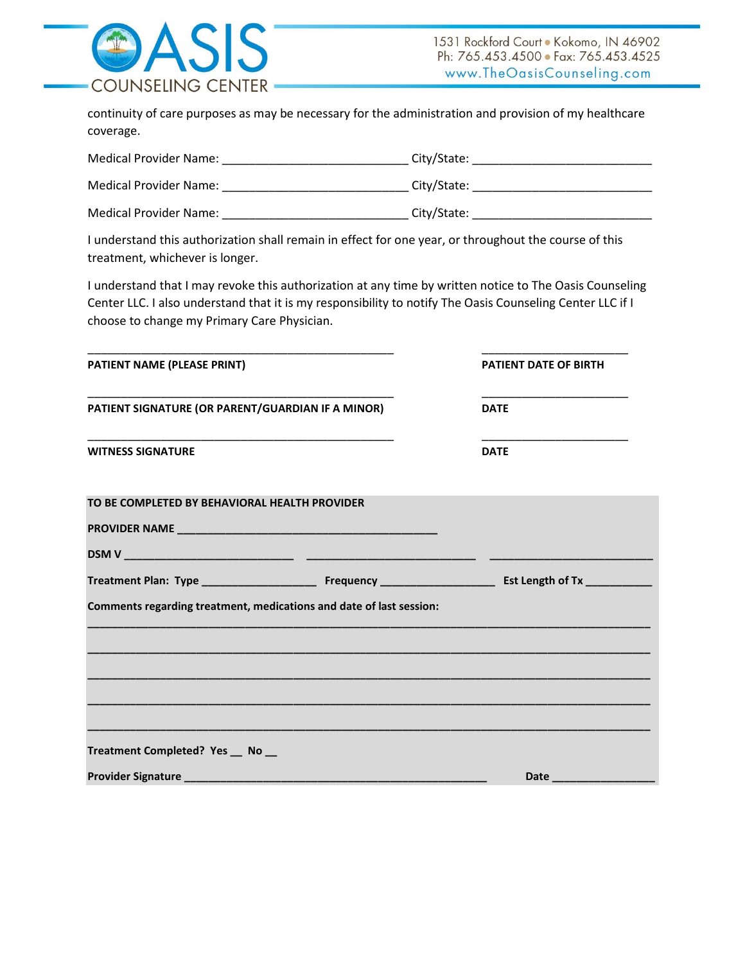

continuity of care purposes as may be necessary for the administration and provision of my healthcare coverage.

| Medical Provider Name: | City/State: |
|------------------------|-------------|
| Medical Provider Name: | City/State: |
| Medical Provider Name: | City/State: |

I understand this authorization shall remain in effect for one year, or throughout the course of this treatment, whichever is longer.

I understand that I may revoke this authorization at any time by written notice to The Oasis Counseling Center LLC. I also understand that it is my responsibility to notify The Oasis Counseling Center LLC if I choose to change my Primary Care Physician.

| <b>PATIENT DATE OF BIRTH</b><br>PATIENT SIGNATURE (OR PARENT/GUARDIAN IF A MINOR)<br><b>DATE</b><br><b>DATE</b><br>TO BE COMPLETED BY BEHAVIORAL HEALTH PROVIDER<br>Comments regarding treatment, medications and date of last session: |                                   |                                                                                                                         |
|-----------------------------------------------------------------------------------------------------------------------------------------------------------------------------------------------------------------------------------------|-----------------------------------|-------------------------------------------------------------------------------------------------------------------------|
|                                                                                                                                                                                                                                         | PATIENT NAME (PLEASE PRINT)       |                                                                                                                         |
|                                                                                                                                                                                                                                         |                                   |                                                                                                                         |
|                                                                                                                                                                                                                                         | <b>WITNESS SIGNATURE</b>          |                                                                                                                         |
|                                                                                                                                                                                                                                         |                                   |                                                                                                                         |
|                                                                                                                                                                                                                                         |                                   |                                                                                                                         |
|                                                                                                                                                                                                                                         |                                   |                                                                                                                         |
|                                                                                                                                                                                                                                         |                                   |                                                                                                                         |
|                                                                                                                                                                                                                                         |                                   |                                                                                                                         |
|                                                                                                                                                                                                                                         |                                   |                                                                                                                         |
|                                                                                                                                                                                                                                         |                                   |                                                                                                                         |
|                                                                                                                                                                                                                                         |                                   |                                                                                                                         |
|                                                                                                                                                                                                                                         | Treatment Completed? Yes __ No __ |                                                                                                                         |
|                                                                                                                                                                                                                                         |                                   | <b>Date <i>Continued by Continued by Continued by Continued by Continued by Continued by Continued by Continued</i></b> |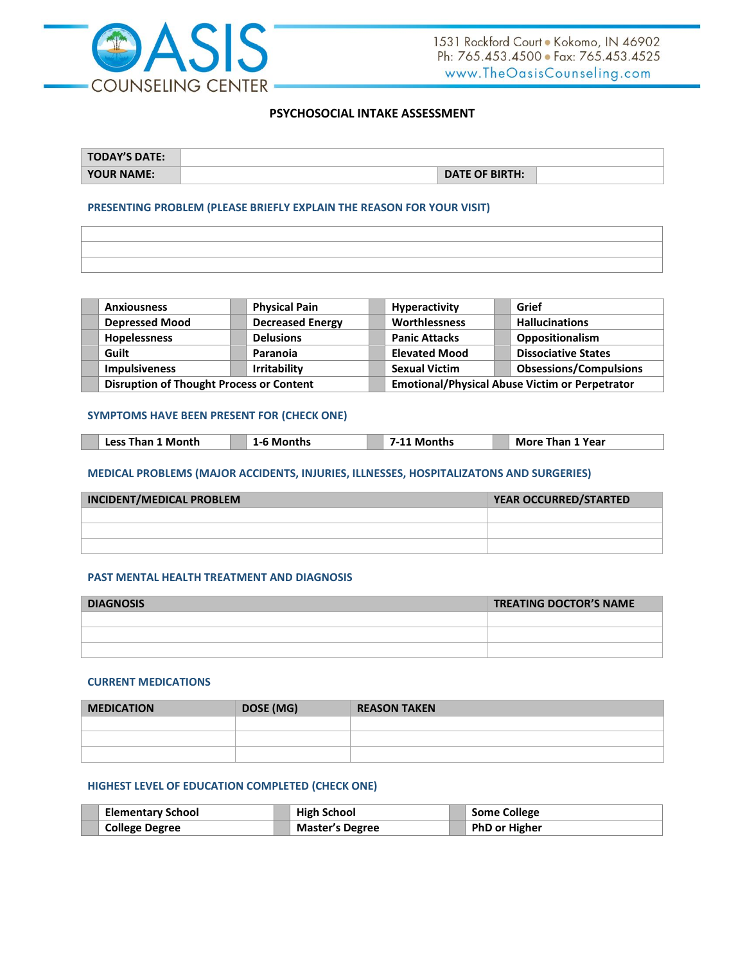

### **PSYCHOSOCIAL INTAKE ASSESSMENT**

| <b>TODAY'S DATE:</b> |                       |  |
|----------------------|-----------------------|--|
| <b>YOUR NAME:</b>    | <b>DATE OF BIRTH:</b> |  |

### **PRESENTING PROBLEM (PLEASE BRIEFLY EXPLAIN THE REASON FOR YOUR VISIT)**

| ,我们也不会不会。""我们的,我们也不会不会。""我们的,我们也不会不会不会。""我们的,我们也不会不会不会。""我们的,我们也不会不会不会。""我们的,我们也 |
|----------------------------------------------------------------------------------|

| <b>Anxiousness</b>                              | <b>Physical Pain</b>    | Hyperactivity        | Grief                                                 |
|-------------------------------------------------|-------------------------|----------------------|-------------------------------------------------------|
| <b>Depressed Mood</b>                           | <b>Decreased Energy</b> | Worthlessness        | <b>Hallucinations</b>                                 |
| Hopelessness                                    | <b>Delusions</b>        | <b>Panic Attacks</b> | Oppositionalism                                       |
| Guilt                                           | Paranoia                | <b>Elevated Mood</b> | <b>Dissociative States</b>                            |
| <b>Impulsiveness</b>                            | <b>Irritability</b>     | <b>Sexual Victim</b> | <b>Obsessions/Compulsions</b>                         |
| <b>Disruption of Thought Process or Content</b> |                         |                      | <b>Emotional/Physical Abuse Victim or Perpetrator</b> |

## **SYMPTOMS HAVE BEEN PRESENT FOR (CHECK ONE)**

| 1 Month<br>`onths<br><b>Than 1 Year</b><br>. Less i<br>Than<br>More<br>Months<br>___<br>___<br>____ |
|-----------------------------------------------------------------------------------------------------|
|-----------------------------------------------------------------------------------------------------|

### **MEDICAL PROBLEMS (MAJOR ACCIDENTS, INJURIES, ILLNESSES, HOSPITALIZATONS AND SURGERIES)**

| INCIDENT/MEDICAL PROBLEM | YEAR OCCURRED/STARTED |
|--------------------------|-----------------------|
|                          |                       |
|                          |                       |
|                          |                       |

#### **PAST MENTAL HEALTH TREATMENT AND DIAGNOSIS**

| <b>DIAGNOSIS</b> | <b>TREATING DOCTOR'S NAME</b> |
|------------------|-------------------------------|
|                  |                               |
|                  |                               |
|                  |                               |

## **CURRENT MEDICATIONS**

| <b>MEDICATION</b> | DOSE (MG) | <b>REASON TAKEN</b> |
|-------------------|-----------|---------------------|
|                   |           |                     |
|                   |           |                     |
|                   |           |                     |

### **HIGHEST LEVEL OF EDUCATION COMPLETED (CHECK ONE)**

| <b>Elementary School</b> | <b>High School</b>     | <sup>1</sup> Some College |
|--------------------------|------------------------|---------------------------|
| <b>College Degree</b>    | <b>Master's Degree</b> | PhD or Higher             |